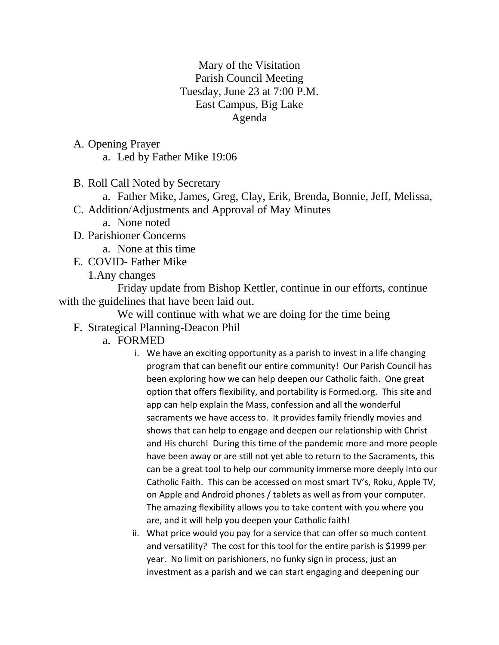## Mary of the Visitation Parish Council Meeting Tuesday, June 23 at 7:00 P.M. East Campus, Big Lake Agenda

A. Opening Prayer a. Led by Father Mike 19:06

B. Roll Call Noted by Secretary

a. Father Mike, James, Greg, Clay, Erik, Brenda, Bonnie, Jeff, Melissa, C. Addition/Adjustments and Approval of May Minutes

a. None noted

D. Parishioner Concerns

a. None at this time

E. COVID- Father Mike

1.Any changes

Friday update from Bishop Kettler, continue in our efforts, continue with the guidelines that have been laid out.

We will continue with what we are doing for the time being F. Strategical Planning-Deacon Phil

- a. FORMED
	- i. We have an exciting opportunity as a parish to invest in a life changing program that can benefit our entire community! Our Parish Council has been exploring how we can help deepen our Catholic faith. One great option that offers flexibility, and portability is Formed.org. This site and app can help explain the Mass, confession and all the wonderful sacraments we have access to. It provides family friendly movies and shows that can help to engage and deepen our relationship with Christ and His church! During this time of the pandemic more and more people have been away or are still not yet able to return to the Sacraments, this can be a great tool to help our community immerse more deeply into our Catholic Faith. This can be accessed on most smart TV's, Roku, Apple TV, on Apple and Android phones / tablets as well as from your computer. The amazing flexibility allows you to take content with you where you are, and it will help you deepen your Catholic faith!
	- ii. What price would you pay for a service that can offer so much content and versatility? The cost for this tool for the entire parish is \$1999 per year. No limit on parishioners, no funky sign in process, just an investment as a parish and we can start engaging and deepening our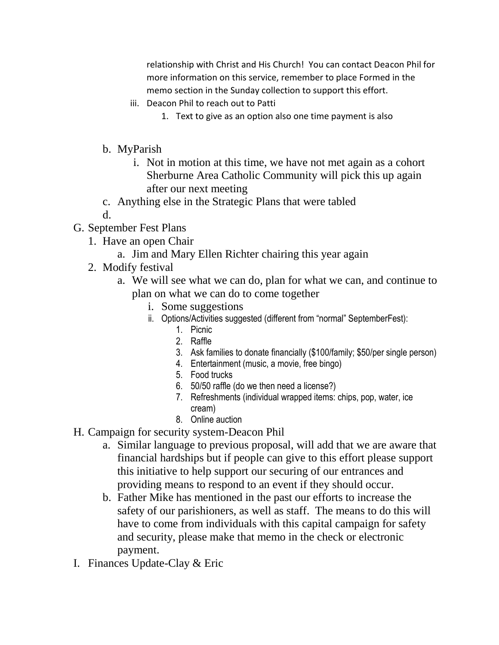relationship with Christ and His Church! You can contact Deacon Phil for more information on this service, remember to place Formed in the memo section in the Sunday collection to support this effort.

- iii. Deacon Phil to reach out to Patti
	- 1. Text to give as an option also one time payment is also
- b. MyParish
	- i. Not in motion at this time, we have not met again as a cohort Sherburne Area Catholic Community will pick this up again after our next meeting
- c. Anything else in the Strategic Plans that were tabled
- d.
- G. September Fest Plans
	- 1. Have an open Chair
		- a. Jim and Mary Ellen Richter chairing this year again
	- 2. Modify festival
		- a. We will see what we can do, plan for what we can, and continue to plan on what we can do to come together
			- i. Some suggestions
			- ii. Options/Activities suggested (different from "normal" SeptemberFest):
				- 1. Picnic
				- 2. Raffle
				- 3. Ask families to donate financially (\$100/family; \$50/per single person)
				- 4. Entertainment (music, a movie, free bingo)
				- 5. Food trucks
				- 6. 50/50 raffle (do we then need a license?)
				- 7. Refreshments (individual wrapped items: chips, pop, water, ice cream)
				- 8. Online auction
- H. Campaign for security system-Deacon Phil
	- a. Similar language to previous proposal, will add that we are aware that financial hardships but if people can give to this effort please support this initiative to help support our securing of our entrances and providing means to respond to an event if they should occur.
	- b. Father Mike has mentioned in the past our efforts to increase the safety of our parishioners, as well as staff. The means to do this will have to come from individuals with this capital campaign for safety and security, please make that memo in the check or electronic payment.
- I. Finances Update-Clay & Eric